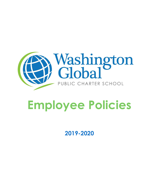

# **Employee Policies**

**2019-2020**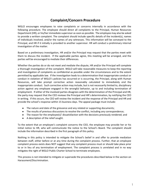## **Complaint/Concern Procedure**

WGLO encourages employees to raise complaints or concerns internally in accordance with the following procedure. The employee should direct all complaints to the Principal, Human Resources Department (HR), or his/her immediate supervisor as soon as possible. The employee may also be asked to provide a written complaint. The complaint should include specific details of the incident(s), names of individuals involved, and/or the names of any witnesses. This information will be conveyed to the Principal, and HR if it initially is provided to another supervisor. HR will conduct a preliminary internal investigation of the matter.

Based on a preliminary investigation, HR and/or the Principal may request that the parties meet with them to discuss the incident. If the applicable parties agree, this meeting will be arranged, and the parties will be encouraged to mediate their differences.

Whether the parties do or do not meet and mediate the dispute, HR and/or the Principal will complete a thorough investigation of the complaint. WGLO will take reasonable measures to keep the reporting and investigation of complaints as confidential as possible under the circumstances and to the extent permitted by applicable law. If the investigation leads to a determination that inappropriate conduct or conduct in violation of WGLO's policies has occurred or is occurring, the Principal, along with Human Resources, will take prompt corrective action reasonably calculated to immediately end the inappropriate conduct. Such corrective action may include, but is not necessarily limited to, disciplinary action against any employee engaged in the wrongful behavior, up to and including termination of employment. If either of the involved parties disagrees with the determination of the Principal and HR, the party may request that the CEO reviews the Principal and HR's determination, by notifying the CEO in writing. If this occurs, the CEO will review the incident and the response of the Principal and HR and provide the school's response within 15 business days. The appeal package must include:

- The nature and date of the grievance and any related or supporting documents;
- The results of previous discussions to resolve the conflict, including any correspondence;
- The reason for the employee(s)' dissatisfaction with the decisions previously rendered; and
- A description of the relief sought.

To the extent that an employee's complaint concerns the CEO, the employee may provide her or his initial notice to HR, who will communicate the notice to the School's Board. The complaint should include the information described in the first paragraph of this policy.

Nothing in this policy is intended to mitigate the School's belief in and offer to provide mediation between staff, either before or at any time during the complaint process. Further, that an employee complaint process exists does NOT suggest that any complaint process must or should take place prior to or in lieu of any termination of employment. The complaint process is unrelated and in no way mitigates the right of WGLO Public Charter School to terminate employees.

This process is not intended to mitigate or supersede the procedures described below in the section on Harassment/Discrimination.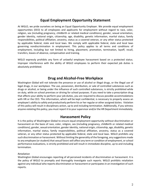## **Equal Employment Opportunity Statement**

At WGLO, we pride ourselves on being an Equal Opportunity Employer. We provide equal employment opportunities (EEO) to all employees and applicants for employment without regard to race, color, religion, sex (including pregnancy, childbirth or related medical conditions), gender, sexual orientation, gender identity, national origin, citizenship, age, disability, genetic information, marital status, family responsibilities, political affiliation, ancestry, status as a covered veteran, or any other status protected by applicable federal, state and local laws. We comply with applicable federal, state and local laws governing nondiscrimination in employment. This policy applies to all terms and conditions of employment, including but not limited to hiring, placement, promotion, termination, layoff, recall, transfers, leaves of absence, compensation and training.

WGLO expressly prohibits any form of unlawful employee harassment based on a protected status. Improper interference with the ability of WGLO employees to perform their expected job duties is absolutely prohibited.

## **Drug and Alcohol-Free Workplace**

Washington Global will not tolerate the presence or use of alcohol or illegal drugs, or the illegal use of legal drugs, in our workplace. The use, possession, distribution, or sale of controlled substances such as drugs or alcohol, or being under the influence of such controlled substances, is strictly prohibited while on duty, while on school premises or driving for school purposes. If you need to take a prescription drug that affects your ability to perform your job duties, you are required to discuss possible accommodations with HR or the CEO. This information, which will be kept confidential, is necessary to properly assess an employee's ability to safely and productively perform his or her regular or other assigned duties. Violation of this policy will result in disciplinary action, up to and including termination. Additionally, if you witness anyone violating this policy, you must report it to your supervisor and/or the HR Department immediately.

## **Harassment Policy**

It is the policy of Washington Global to ensure equal employment opportunity without discrimination or harassment on the basis of race, color, religion, sex (including pregnancy, childbirth or related medical conditions), gender, sexual orientation, gender identity, national origin, citizenship, age, disability, genetic information, marital status, family responsibilities, political affiliation, ancestry, status as a covered veteran, or any other status protected by applicable federal, state and local laws. WGLO prohibits any such discrimination or harassment. Without limiting the generality of the foregoing, any suggestions made to any employee (or student) that sexual favors will affect any term or condition of employment, or school performance evaluations, is strictly prohibited and will result in immediate discipline, up to and including termination.

## *Retaliation*

Washington Global encourages reporting of all perceived incidents of discrimination or harassment. It is the policy of WGLO to promptly and thoroughly investigate such reports. WGLO prohibits retaliation against any individual who reports discrimination or harassment or participates in an investigation of such reports.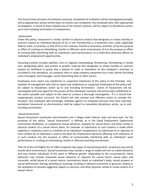The School treats all claims of retaliation seriously. Complaints of retaliation will be investigated promptly, and as appropriate, actions will be taken to resolve such complaints. Any employee who, after appropriate investigation, is found to have violated any of the School's policies, will be subject to disciplinary action, up to and including termination of employment.

#### *Harassment*

Under this policy, harassment is verbal, written or physical conduct that denigrates or shows hostility or aversion toward an individual because of his or her membership in a protected class under applicable federal, state, or local law, or that of his or her relatives, friends or associates, and that: a) has the purpose or effect of creating an intimidating, hostile or offensive work environment, b) has the purpose or effect of unreasonably interfering with an individual's work performance, or c) otherwise adversely affects an individual's employment opportunities.

Harassing conduct includes epithets, slurs or negative stereotyping; threatening, intimidating or hostile acts; denigrating jokes; and written or graphic material that denigrates or shows hostility or aversion toward an individual or group that is placed on walls or elsewhere on the employer's premises or circulated in the workplace, on company time or using company equipment by e-mail, phone (including voice messages), text messages, social networking sites or other means.

Employees must report any violation(s) or suspected violation(s) of this policy to the Principal. Any member of management who fails to report any violation(s) or suspected violation(s) of this policy will be subject to disciplinary action up to and including termination. Claims of harassment will be investigated with due regard for the privacy of the individuals involved, and will be kept confidential to the extent possible and subject to the need to conduct a thorough investigation. If it is found that inappropriate conduct occurred, the School will take prompt and effective action to remedy the situation. Any employee who knowingly retaliates against an employee because they have reported workplace harassment or discrimination shall be subject to immediate disciplinary action, up to and including termination.

#### *Sexual harassment*

Sexual harassment constitutes discrimination and is illegal under federal, state and local laws. For the purposes of this policy, "sexual harassment" is defined, as in the Equal Employment Opportunity Commission Guidelines, as unwelcome sexual advances, requests for sexual favors and other verbal or physical conduct of a sexual nature when, for example: a) submission to such conduct is made either explicitly or implicitly a term or condition of an individual's employment, b) submission to or rejection of such conduct by an individual is used as the basis for employment decisions affecting such individual, or c) such conduct has the purpose or effect of unreasonably interfering with an individual's work performance or creating an intimidating, hostile or offensive working environment.

Title VII of the Civil Rights Act of 1964 recognizes two types of sexual harassment: a) quid pro quo and b) hostile work environment. Sexual harassment may include a range of subtle and not-so-subtle behaviors and may involve individuals of the same or different gender. Depending on the circumstances, these behaviors may include unwanted sexual advances or requests for sexual favors; sexual jokes and innuendo; verbal abuse of a sexual nature; commentary about an individual's body, sexual prowess or sexual deficiencies; leering, whistling or touching; insulting or obscene comments or gestures; display in the workplace of sexually suggestive objects or pictures; and other physical, verbal or visual conduct of a sexual nature.